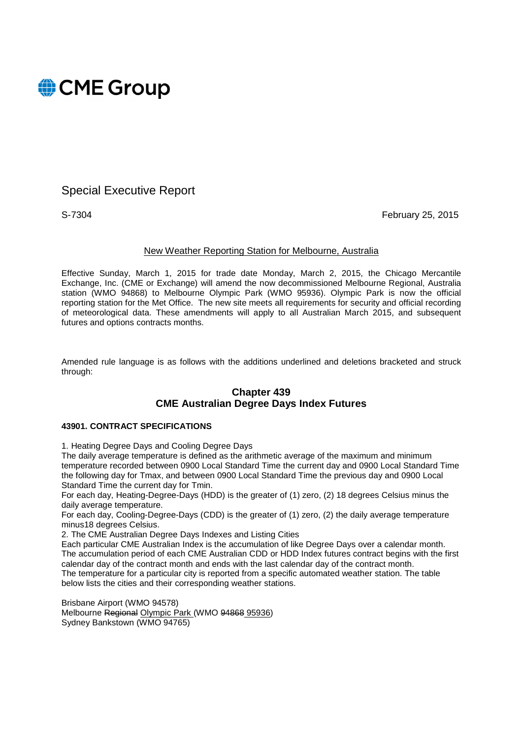

# Special Executive Report

S-7304 February 25, 2015

### New Weather Reporting Station for Melbourne, Australia

Effective Sunday, March 1, 2015 for trade date Monday, March 2, 2015, the Chicago Mercantile Exchange, Inc. (CME or Exchange) will amend the now decommissioned Melbourne Regional, Australia station (WMO 94868) to Melbourne Olympic Park (WMO 95936). Olympic Park is now the official reporting station for the Met Office. The new site meets all requirements for security and official recording of meteorological data. These amendments will apply to all Australian March 2015, and subsequent futures and options contracts months.

Amended rule language is as follows with the additions underlined and deletions bracketed and struck through:

### **Chapter 439 CME Australian Degree Days Index Futures**

### **43901. CONTRACT SPECIFICATIONS**

1. Heating Degree Days and Cooling Degree Days

The daily average temperature is defined as the arithmetic average of the maximum and minimum temperature recorded between 0900 Local Standard Time the current day and 0900 Local Standard Time the following day for Tmax, and between 0900 Local Standard Time the previous day and 0900 Local Standard Time the current day for Tmin.

For each day, Heating-Degree-Days (HDD) is the greater of (1) zero, (2) 18 degrees Celsius minus the daily average temperature.

For each day, Cooling-Degree-Days (CDD) is the greater of (1) zero, (2) the daily average temperature minus18 degrees Celsius.

2. The CME Australian Degree Days Indexes and Listing Cities

Each particular CME Australian Index is the accumulation of like Degree Days over a calendar month. The accumulation period of each CME Australian CDD or HDD Index futures contract begins with the first calendar day of the contract month and ends with the last calendar day of the contract month. The temperature for a particular city is reported from a specific automated weather station. The table below lists the cities and their corresponding weather stations.

Brisbane Airport (WMO 94578) Melbourne Regional Olympic Park (WMO 94868 95936) Sydney Bankstown (WMO 94765)